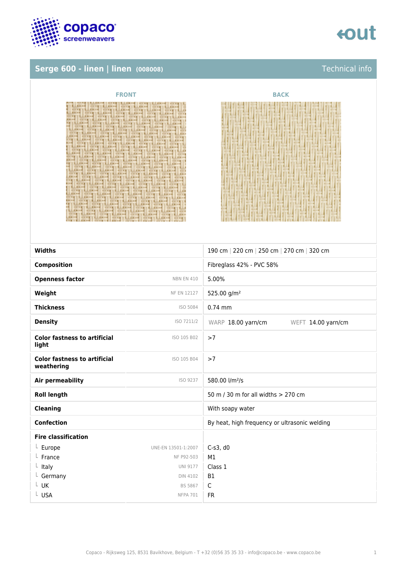

# **Serge 600 - linen | linen (008008)** Technical info



| <b>FRONT</b>                                                                      | <b>BACK</b> |
|-----------------------------------------------------------------------------------|-------------|
| <b>WINDS</b><br>41. 91. 91.<br>81.911<br>$-11$<br>$-4$<br>机开坡<br>紅豆<br>. .<br>五十吨 |             |

| <b>Widths</b>                                     |                     | 190 cm   220 cm   250 cm   270 cm   320 cm    |
|---------------------------------------------------|---------------------|-----------------------------------------------|
|                                                   |                     |                                               |
| <b>Composition</b>                                |                     | Fibreglass 42% - PVC 58%                      |
| <b>Openness factor</b>                            | <b>NBN EN 410</b>   | 5.00%                                         |
| Weight                                            | <b>NF EN 12127</b>  | 525.00 g/m <sup>2</sup>                       |
| <b>Thickness</b>                                  | ISO 5084            | $0.74$ mm                                     |
| <b>Density</b>                                    | ISO 7211/2          | WARP 18.00 yarn/cm<br>WEFT 14.00 yarn/cm      |
| <b>Color fastness to artificial</b><br>light      | ISO 105 B02         | >7                                            |
| <b>Color fastness to artificial</b><br>weathering | ISO 105 B04         | >7                                            |
| Air permeability                                  | ISO 9237            | 580.00 l/m <sup>2</sup> /s                    |
| <b>Roll length</b>                                |                     | 50 m / 30 m for all widths > 270 cm           |
| <b>Cleaning</b>                                   |                     | With soapy water                              |
| <b>Confection</b>                                 |                     | By heat, high frequency or ultrasonic welding |
| <b>Fire classification</b>                        |                     |                                               |
| $L$ Europe                                        | UNE-EN 13501-1:2007 | $C-s3$ , d $0$                                |
| $L$ France                                        | NF P92-503          | M1                                            |
| $L$ Italy                                         | <b>UNI 9177</b>     | Class 1                                       |
| $L$ Germany                                       | <b>DIN 4102</b>     | <b>B1</b>                                     |
| $L$ UK                                            | BS 5867             | $\mathsf{C}$                                  |
| L USA                                             | <b>NFPA 701</b>     | <b>FR</b>                                     |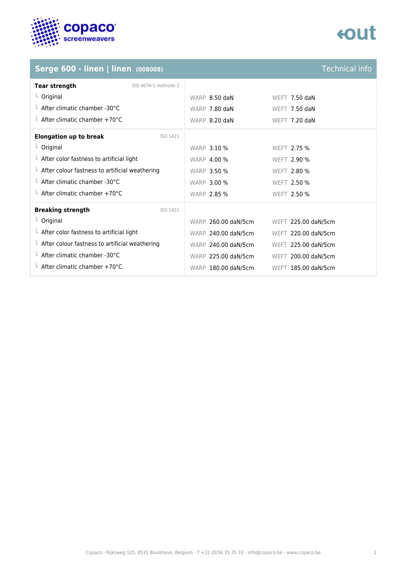

# tout

# **Serge 600 - linen | linen (008008)**

| <b>Technical info</b> |  |
|-----------------------|--|
|                       |  |
|                       |  |
|                       |  |

| <b>Tear strength</b><br>ISO 4674-1 methode 2           |                     |                     |
|--------------------------------------------------------|---------------------|---------------------|
| $L$ Original                                           | WARP 8.50 daN       | WEFT $7.50$ daN     |
| $\perp$ After climatic chamber -30°C                   | WARP 7.80 daN       | WEFT $7.50$ daN     |
| $\perp$ After climatic chamber +70°C                   | WARP 8.20 daN       | WEFT 7.20 daN       |
| <b>Elongation up to break</b><br>ISO 1421              |                     |                     |
| $L$ Original                                           | <b>WARP 3.10 %</b>  | WEFT 2.75 %         |
| $\perp$ After color fastness to artificial light       | <b>WARP 4.00 %</b>  | <b>WEFT 2.90 %</b>  |
| $\perp$ After colour fastness to artificial weathering | <b>WARP 3.50 %</b>  | WEFT 2.80 %         |
| $\perp$ After climatic chamber -30°C                   | <b>WARP 3.00 %</b>  | WEFT 2.50 %         |
| $\perp$ After climatic chamber +70°C                   | <b>WARP 2.85 %</b>  | WEFT 2.50 %         |
| <b>Breaking strength</b><br>ISO 1421                   |                     |                     |
| $L$ Original                                           | WARP 260.00 daN/5cm | WEFT 225.00 daN/5cm |
| $\perp$ After color fastness to artificial light       | WARP 240.00 daN/5cm | WEFT 220.00 daN/5cm |
| $\perp$ After colour fastness to artificial weathering | WARP 240.00 daN/5cm | WEFT 225.00 daN/5cm |
| $\perp$ After climatic chamber -30°C                   | WARP 225.00 daN/5cm | WEFT 200.00 daN/5cm |
| $\perp$ After climatic chamber +70°C                   | WARP 180.00 daN/5cm | WEFT 185.00 daN/5cm |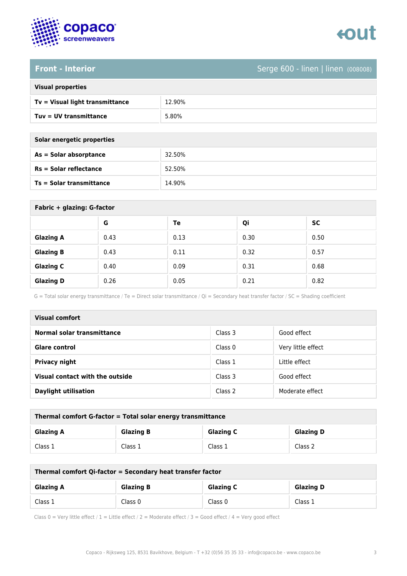

### **Front - Interior** Serge 600 - linen | linen (008008)

| <b>Visual properties</b> |  |  |
|--------------------------|--|--|
|                          |  |  |

| Tv = Visual light transmittance | 12.90% |
|---------------------------------|--------|
| $Tuv = UV$ transmittance        | 5.80%  |

| Solar energetic properties      |        |
|---------------------------------|--------|
| As = Solar absorptance          | 32.50% |
| $Rs = Solar$ reflectance        | 52.50% |
| <b>Ts = Solar transmittance</b> | 14.90% |

| Fabric + glazing: G-factor |      |      |      |           |
|----------------------------|------|------|------|-----------|
|                            | G    | Te   | Qi   | <b>SC</b> |
| <b>Glazing A</b>           | 0.43 | 0.13 | 0.30 | 0.50      |
| <b>Glazing B</b>           | 0.43 | 0.11 | 0.32 | 0.57      |
| <b>Glazing C</b>           | 0.40 | 0.09 | 0.31 | 0.68      |
| <b>Glazing D</b>           | 0.26 | 0.05 | 0.21 | 0.82      |

G = Total solar energy transmittance / Te = Direct solar transmittance / Qi = Secondary heat transfer factor / SC = Shading coefficient

| Visual comfort                  |                    |                    |  |
|---------------------------------|--------------------|--------------------|--|
| Normal solar transmittance      | Class 3            | Good effect        |  |
| <b>Glare control</b>            | Class <sub>0</sub> | Very little effect |  |
| <b>Privacy night</b>            | Class 1            | Little effect      |  |
| Visual contact with the outside | Class 3            | Good effect        |  |
| <b>Daylight utilisation</b>     | Class 2            | Moderate effect    |  |

| Thermal comfort G-factor = Total solar energy transmittance |                  |                  |                  |
|-------------------------------------------------------------|------------------|------------------|------------------|
| <b>Glazing A</b>                                            | <b>Glazing B</b> | <b>Glazing C</b> | <b>Glazing D</b> |
| Class 1                                                     | Class 1          | Class 1          | Class 2          |

| Thermal comfort Qi-factor = Secondary heat transfer factor |                  |                  |                  |
|------------------------------------------------------------|------------------|------------------|------------------|
| <b>Glazing A</b>                                           | <b>Glazing B</b> | <b>Glazing C</b> | <b>Glazing D</b> |
| Class 1                                                    | Class 0          | Class 0          | Class 1          |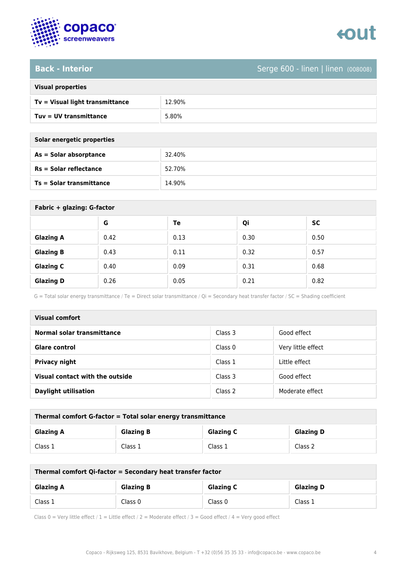

### **Back - Interior** Serge 600 - linen | linen (008008)

|  | <b>Visual properties</b> |
|--|--------------------------|

| Tv = Visual light transmittance | 12.90% |
|---------------------------------|--------|
| $Tuv = UV$ transmittance        | 5.80%  |

| Solar energetic properties      |        |  |
|---------------------------------|--------|--|
| As = Solar absorptance          | 32.40% |  |
| $Rs = Solar$ reflectance        | 52.70% |  |
| <b>Ts = Solar transmittance</b> | 14.90% |  |

| Fabric + glazing: G-factor |      |      |      |           |  |
|----------------------------|------|------|------|-----------|--|
|                            | G    | Te   | Qi   | <b>SC</b> |  |
| <b>Glazing A</b>           | 0.42 | 0.13 | 0.30 | 0.50      |  |
| <b>Glazing B</b>           | 0.43 | 0.11 | 0.32 | 0.57      |  |
| <b>Glazing C</b>           | 0.40 | 0.09 | 0.31 | 0.68      |  |
| <b>Glazing D</b>           | 0.26 | 0.05 | 0.21 | 0.82      |  |

G = Total solar energy transmittance / Te = Direct solar transmittance / Qi = Secondary heat transfer factor / SC = Shading coefficient

| <b>Visual comfort</b>           |                    |                    |  |  |
|---------------------------------|--------------------|--------------------|--|--|
| Normal solar transmittance      | Class 3            | Good effect        |  |  |
| <b>Glare control</b>            | Class <sub>0</sub> | Very little effect |  |  |
| <b>Privacy night</b>            | Class 1            | Little effect      |  |  |
| Visual contact with the outside | Class 3            | Good effect        |  |  |
| <b>Daylight utilisation</b>     | Class 2            | Moderate effect    |  |  |

| Thermal comfort G-factor = Total solar energy transmittance                  |         |         |         |  |
|------------------------------------------------------------------------------|---------|---------|---------|--|
| <b>Glazing C</b><br><b>Glazing B</b><br><b>Glazing D</b><br><b>Glazing A</b> |         |         |         |  |
| Class 1                                                                      | Class 1 | Class 1 | Class 2 |  |

| Thermal comfort Qi-factor = Secondary heat transfer factor                   |         |         |         |  |
|------------------------------------------------------------------------------|---------|---------|---------|--|
| <b>Glazing C</b><br><b>Glazing B</b><br><b>Glazing D</b><br><b>Glazing A</b> |         |         |         |  |
| Class 1                                                                      | Class 0 | Class 0 | Class 1 |  |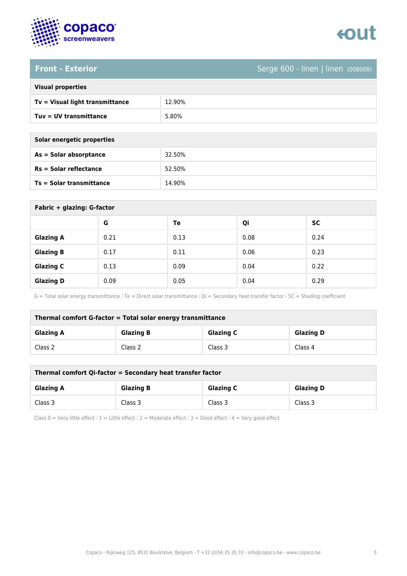

### Front - Exterior **Serge 600 - linen (008008)**

| <b>Visual properties</b> |  |  |
|--------------------------|--|--|
|                          |  |  |

| 5.80%<br>$Tuv = UV$ transmittance | Tv = Visual light transmittance | 12.90% |
|-----------------------------------|---------------------------------|--------|
|                                   |                                 |        |

| Solar energetic properties |        |  |
|----------------------------|--------|--|
| As = Solar absorptance     | 32.50% |  |
| $Rs = Solar$ reflectance   | 52.50% |  |
| Ts = Solar transmittance   | 14.90% |  |

| Fabric + glazing: G-factor |      |      |      |           |  |
|----------------------------|------|------|------|-----------|--|
|                            | G    | Te   | Qi   | <b>SC</b> |  |
| <b>Glazing A</b>           | 0.21 | 0.13 | 0.08 | 0.24      |  |
| <b>Glazing B</b>           | 0.17 | 0.11 | 0.06 | 0.23      |  |
| <b>Glazing C</b>           | 0.13 | 0.09 | 0.04 | 0.22      |  |
| <b>Glazing D</b>           | 0.09 | 0.05 | 0.04 | 0.29      |  |

G = Total solar energy transmittance / Te = Direct solar transmittance / Qi = Secondary heat transfer factor / SC = Shading coefficient

| Thermal comfort G-factor = Total solar energy transmittance |                  |                  |                  |  |
|-------------------------------------------------------------|------------------|------------------|------------------|--|
| <b>Glazing A</b>                                            | <b>Glazing B</b> | <b>Glazing C</b> | <b>Glazing D</b> |  |
| Class 2                                                     | Class 2          | Class 3          | Class 4          |  |

| Thermal comfort Qi-factor = Secondary heat transfer factor                   |         |         |         |  |
|------------------------------------------------------------------------------|---------|---------|---------|--|
| <b>Glazing B</b><br><b>Glazing C</b><br><b>Glazing D</b><br><b>Glazing A</b> |         |         |         |  |
| Class 3                                                                      | Class 3 | Class 3 | Class 3 |  |